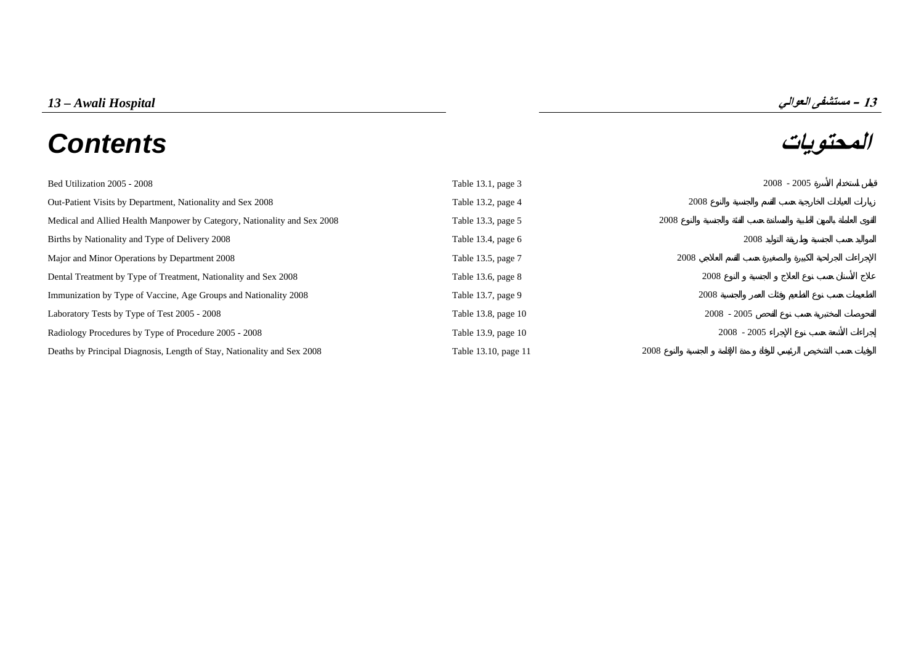# **المحتويات** *Contents*



| Bed Utilization 2005 - 2008                                              | Table 13.1, page 3   | $2008 - 2005$ |
|--------------------------------------------------------------------------|----------------------|---------------|
| Out-Patient Visits by Department, Nationality and Sex 2008               | Table 13.2, page 4   | 2008          |
| Medical and Allied Health Manpower by Category, Nationality and Sex 2008 | Table 13.3, page 5   | 2008          |
| Births by Nationality and Type of Delivery 2008                          | Table 13.4, page 6   | 2008          |
| Major and Minor Operations by Department 2008                            | Table 13.5, page 7   | 2008          |
| Dental Treatment by Type of Treatment, Nationality and Sex 2008          | Table 13.6, page 8   | 2008          |
| Immunization by Type of Vaccine, Age Groups and Nationality 2008         | Table 13.7, page 9   | 2008          |
| Laboratory Tests by Type of Test 2005 - 2008                             | Table 13.8, page 10  | $2008 - 2005$ |
| Radiology Procedures by Type of Procedure 2005 - 2008                    | Table 13.9, page 10  | $2008 - 2005$ |
| Deaths by Principal Diagnosis, Length of Stay, Nationality and Sex 2008  | Table 13.10, page 11 | 2008          |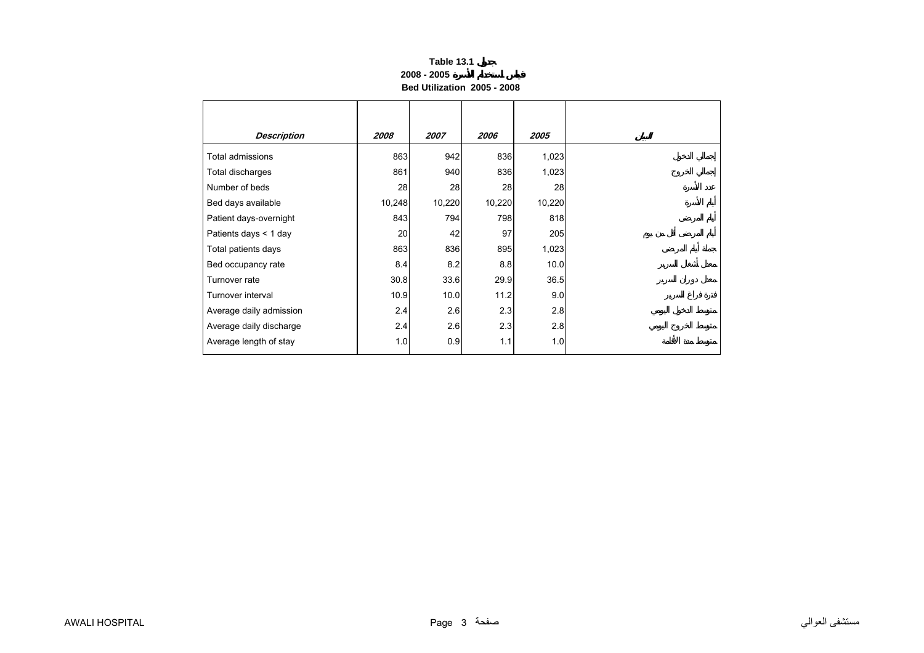## **Table 13.1 2008 - 2005Bed Utilization 2005 - 2008**

<span id="page-2-0"></span>

| <b>Description</b>      | 2008   | 2007   | 2006   | 2005   |
|-------------------------|--------|--------|--------|--------|
| Total admissions        | 863    | 942    | 836    | 1,023  |
| Total discharges        | 861    | 940    | 836    | 1,023  |
| Number of beds          | 28     | 28     | 28     | 28     |
| Bed days available      | 10,248 | 10,220 | 10,220 | 10,220 |
| Patient days-overnight  | 843    | 794    | 798    | 818    |
| Patients days $<$ 1 day | 20     | 42     | 97     | 205    |
| Total patients days     | 863    | 836    | 895    | 1,023  |
| Bed occupancy rate      | 8.4    | 8.2    | 8.8    | 10.0   |
| Turnover rate           | 30.8   | 33.6   | 29.9   | 36.5   |
| Turnover interval       | 10.9   | 10.0   | 11.2   | 9.0    |
| Average daily admission | 2.4    | 2.6    | 2.3    | 2.8    |
| Average daily discharge | 2.4    | 2.6    | 2.3    | 2.8    |
| Average length of stay  | 1.0    | 0.9    | 1.1    | 1.0    |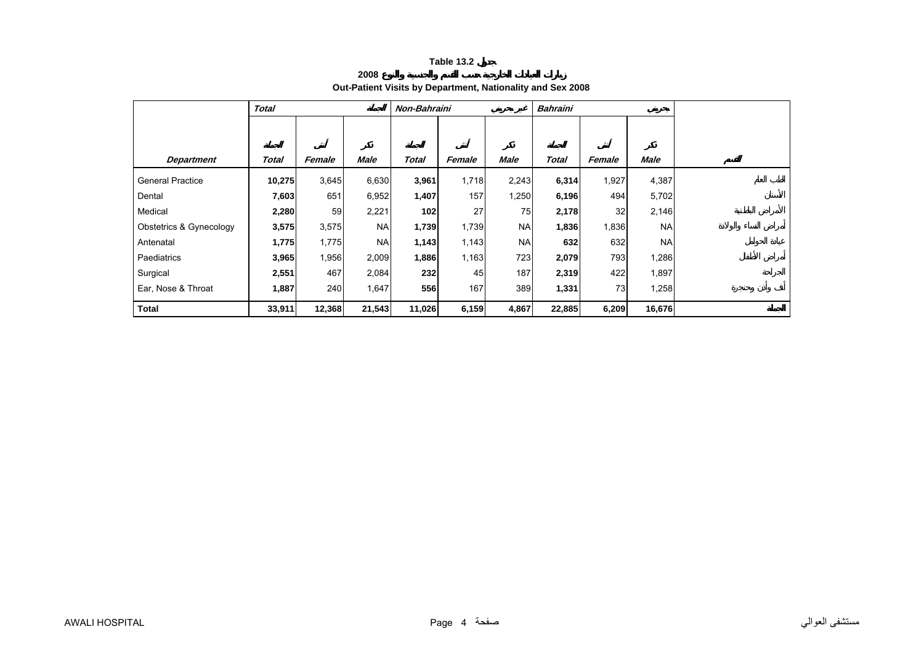**2008**

## **Out-Patient Visits by Department, Nationality and Sex 2008**

<span id="page-3-0"></span>

|                         | <b>Total</b> |        |             | Non-Bahraini |        |             | <b>Bahraini</b> |        |             |  |
|-------------------------|--------------|--------|-------------|--------------|--------|-------------|-----------------|--------|-------------|--|
|                         |              |        |             |              |        |             |                 |        |             |  |
|                         |              |        |             |              |        |             |                 |        |             |  |
| <b>Department</b>       | <b>Total</b> | Female | <b>Male</b> | <b>Total</b> | Female | <b>Male</b> | <b>Total</b>    | Female | <b>Male</b> |  |
| <b>General Practice</b> | 10,275       | 3,645  | 6,630       | 3,961        | 1,718  | 2,243       | 6,314           | 1,927  | 4,387       |  |
| Dental                  | 7,603        | 651    | 6,952       | 1,407        | 157    | 1,250       | 6,196           | 494    | 5,702       |  |
| Medical                 | 2,280        | 59     | 2,221       | 102          | 27     | 75          | 2,178           | 32     | 2,146       |  |
| Obstetrics & Gynecology | 3,575        | 3,575  | <b>NA</b>   | 1,739        | 1,739  | <b>NA</b>   | 1,836           | 1,836  | <b>NA</b>   |  |
| Antenatal               | 1,775        | 1,775  | <b>NA</b>   | 1,143        | 1,143  | <b>NA</b>   | 632             | 632    | <b>NA</b>   |  |
| Paediatrics             | 3,965        | 1,956  | 2,009       | 1,886        | 1,163  | 723         | 2,079           | 793    | 1,286       |  |
| Surgical                | 2,551        | 467    | 2,084       | 232          | 45     | 187         | 2,319           | 422    | 1,897       |  |
| Ear, Nose & Throat      | 1,887        | 240    | 1,647       | 556          | 167    | 389         | 1,331           | 73     | 1,258       |  |
| <b>Total</b>            | 33,911       | 12,368 | 21,543      | 11,026       | 6,159  | 4,867       | 22,885          | 6,209  | 16,676      |  |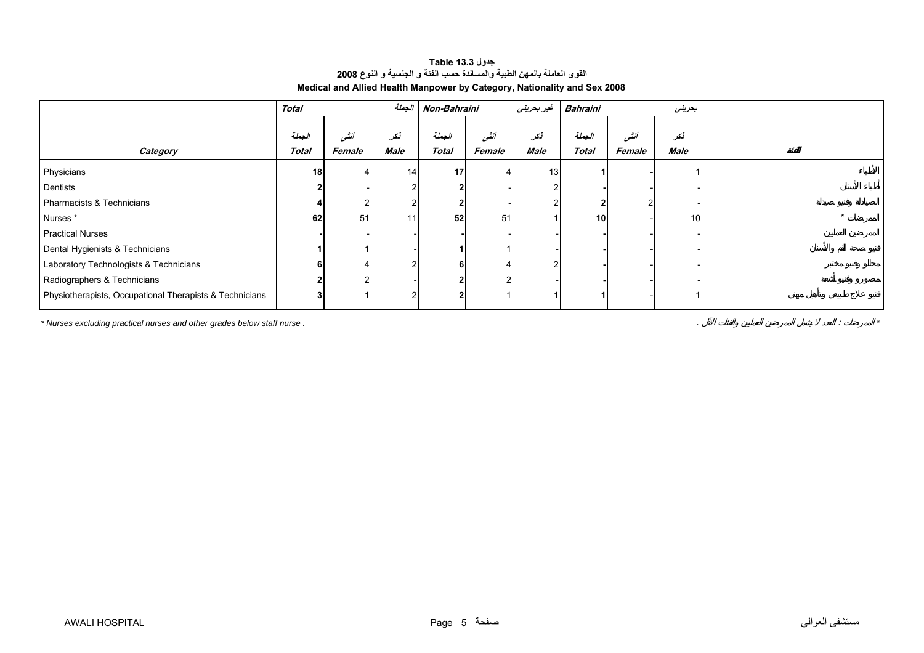<span id="page-4-0"></span>

|                                                         | <b>Total</b> |        | الجملة      | Non-Bahraini |        | غير بعريني | <b>Bahraini</b> |        | بعريني          |
|---------------------------------------------------------|--------------|--------|-------------|--------------|--------|------------|-----------------|--------|-----------------|
|                                                         | الجملة       | أنشور  | أنكر        | الجعلة       | أنشى   | نكر        | الجملة          | أنشى   | نكر             |
| Category                                                | Total        | Female | <b>Male</b> | <b>Total</b> | Female | Male       | <b>Total</b>    | Female | Male            |
| Physicians                                              | 18           |        | 14          | 17           |        | 13         |                 |        |                 |
| Dentists                                                | 2            |        |             |              |        |            |                 |        |                 |
| Pharmacists & Technicians                               |              |        |             |              |        |            |                 |        |                 |
| Nurses*                                                 | 62           | 51     | 11          | 52           | 51     |            | 10 <sup>1</sup> |        | 10 <sup>1</sup> |
| <b>Practical Nurses</b>                                 |              |        |             |              |        |            |                 |        |                 |
| Dental Hygienists & Technicians                         |              |        |             |              |        |            |                 |        |                 |
| Laboratory Technologists & Technicians                  | 6            |        |             |              |        |            |                 |        |                 |
| Radiographers & Technicians                             |              |        |             |              |        |            |                 |        |                 |
| Physiotherapists, Occupational Therapists & Technicians | $\mathbf{3}$ |        |             |              |        |            |                 |        |                 |

## **جدول 13.3 Table القوى العاملة بالمهن الطبية والمساندة حسب الفئة <sup>و</sup> الجنسية <sup>و</sup> النوع <sup>2008</sup> Medical and Allied Health Manpower by Category, Nationality and Sex 2008**

*\* Nurses excluding practical nurses and other grades below staff nurse .* . : *\**

مستشفى العوالي صفحة 5 Page HOSPITAL AWALI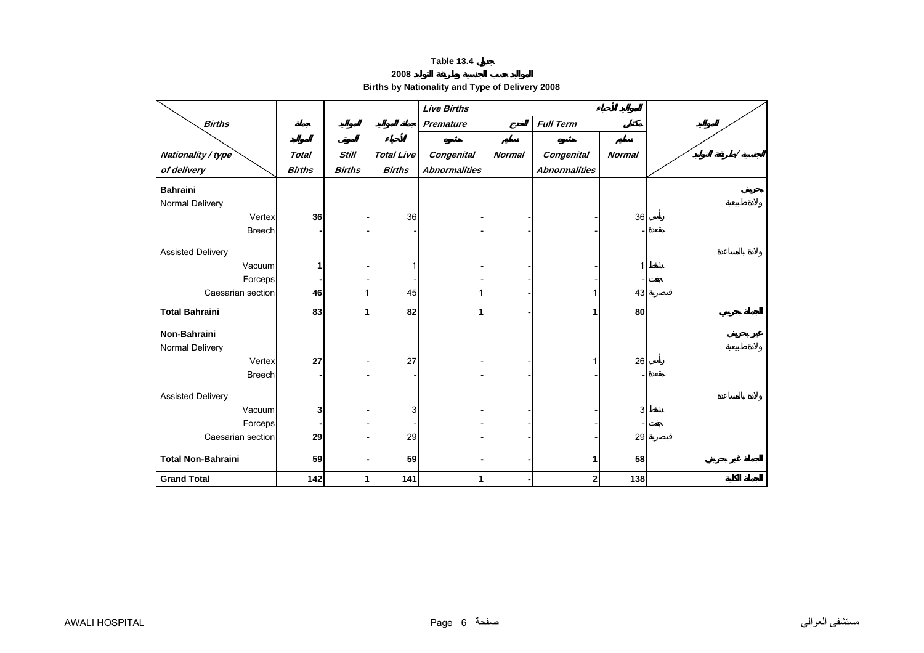**2008** 

**Births by Nationality and Type of Delivery 2008** 

<span id="page-5-0"></span>

|                           |               |               |                   | <b>Live Births</b>   |               |                      |               |  |
|---------------------------|---------------|---------------|-------------------|----------------------|---------------|----------------------|---------------|--|
| <b>Births</b>             |               |               |                   | <b>Premature</b>     |               | <b>Full Term</b>     |               |  |
|                           |               |               |                   |                      |               |                      |               |  |
| Nationality / type        | <b>Total</b>  | <b>Still</b>  | <b>Total Live</b> | <b>Congenital</b>    | <b>Normal</b> | Congenital           | <b>Normal</b> |  |
| of delivery               | <b>Births</b> | <b>Births</b> | <b>Births</b>     | <b>Abnormalities</b> |               | <b>Abnormalities</b> |               |  |
| <b>Bahraini</b>           |               |               |                   |                      |               |                      |               |  |
| Normal Delivery           |               |               |                   |                      |               |                      |               |  |
| Vertex                    | 36            |               | 36                |                      |               |                      | 36            |  |
| <b>Breech</b>             |               |               |                   |                      |               |                      |               |  |
| <b>Assisted Delivery</b>  |               |               |                   |                      |               |                      |               |  |
| Vacuum                    | 1             |               |                   |                      |               |                      |               |  |
| Forceps                   |               |               |                   |                      |               |                      |               |  |
| Caesarian section         | 46            |               | 45                |                      |               |                      | 43            |  |
| <b>Total Bahraini</b>     | 83            |               | 82                | 1                    |               |                      | 80            |  |
|                           |               |               |                   |                      |               |                      |               |  |
| Non-Bahraini              |               |               |                   |                      |               |                      |               |  |
| Normal Delivery           |               |               |                   |                      |               |                      |               |  |
| Vertex                    | 27            |               | 27                |                      |               |                      | 26            |  |
| <b>Breech</b>             |               |               |                   |                      |               |                      |               |  |
| <b>Assisted Delivery</b>  |               |               |                   |                      |               |                      |               |  |
| Vacuum                    | 3             |               | 3                 |                      |               |                      | 3             |  |
| Forceps                   |               |               |                   |                      |               |                      |               |  |
| Caesarian section         | 29            |               | 29                |                      |               |                      | 29            |  |
|                           |               |               |                   |                      |               |                      |               |  |
| <b>Total Non-Bahraini</b> | 59            |               | 59                |                      |               | 1                    | 58            |  |
| <b>Grand Total</b>        | 142           | 1             | 141               | 1                    |               | 2                    | 138           |  |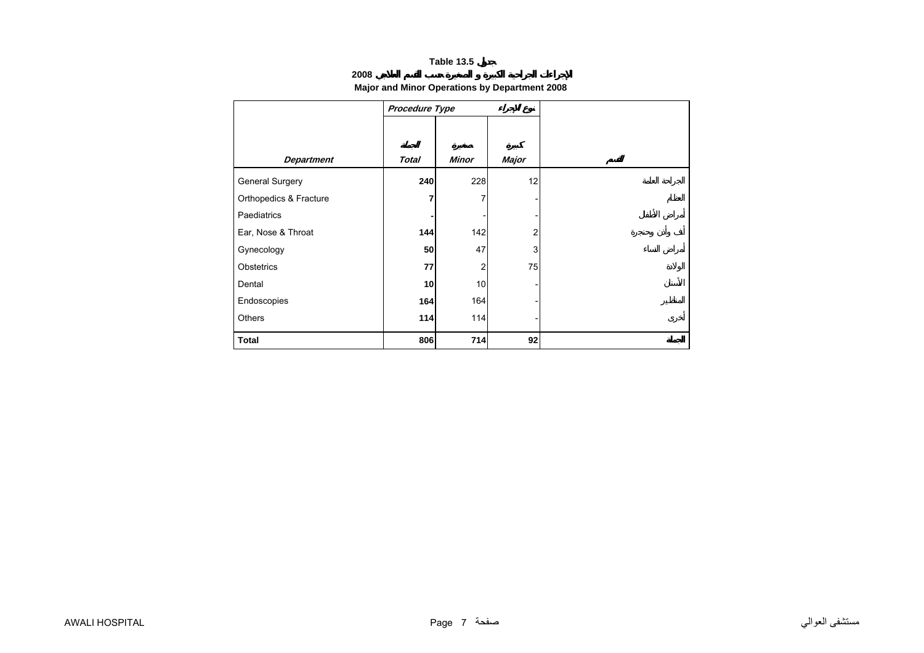## **2008**

## **Major and Minor Operations by Department 2008**

<span id="page-6-0"></span>

|                        | Procedure Type |              |       |
|------------------------|----------------|--------------|-------|
|                        |                |              |       |
|                        |                |              |       |
| <b>Department</b>      | <b>Total</b>   | <b>Minor</b> | Major |
| <b>General Surgery</b> | 240            | 228          | 12    |
| Orthopedics & Fracture | 7              |              |       |
| Paediatrics            |                |              |       |
| Ear, Nose & Throat     | 144            | 142          | 2     |
| Gynecology             | 50             | 47           | 3     |
| Obstetrics             | 77             | 2            | 75    |
| Dental                 | 10             | 10           |       |
| Endoscopies            | 164            | 164          |       |
| Others                 | 114            | 114          |       |
| <b>Total</b>           | 806            | 714          | 92    |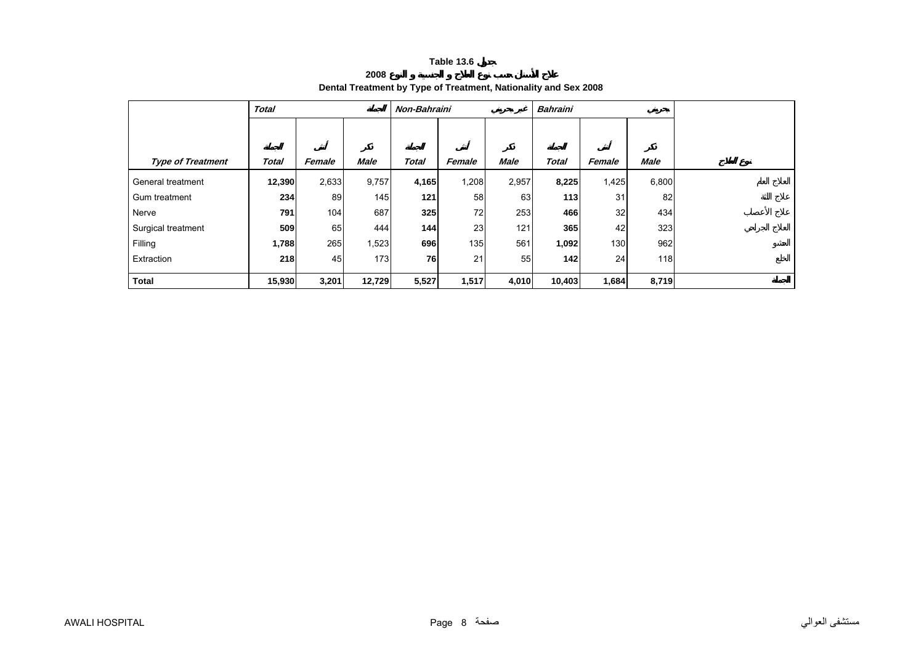## **2008Dental Treatment by Type of Treatment, Nationality and Sex 2008**

<span id="page-7-0"></span>

|                          | <b>Total</b> |        |             | Non-Bahraini |        |             | <b>Bahraini</b> |        |             |  |
|--------------------------|--------------|--------|-------------|--------------|--------|-------------|-----------------|--------|-------------|--|
|                          |              |        |             |              |        |             |                 |        |             |  |
|                          |              |        |             |              |        |             |                 |        |             |  |
| <b>Type of Treatment</b> | Total        | Female | <b>Male</b> | <b>Total</b> | Female | <b>Male</b> | <b>Total</b>    | Female | <b>Male</b> |  |
| General treatment        | 12,390       | 2,633  | 9,757       | 4,165        | 1,208  | 2,957       | 8,225           | 1,425  | 6,800       |  |
| Gum treatment            | 234          | 89     | 145         | 121          | 58     | 63          | 113             | 31     | 82          |  |
| Nerve                    | 791          | 104    | 687         | 325          | 72     | 253         | 466             | 32     | 434         |  |
| Surgical treatment       | 509          | 65     | 444         | 144          | 23     | 121         | 365             | 42     | 323         |  |
| Filling                  | 1,788        | 265    | 1,523       | 696          | 135    | 561         | 1,092           | 130    | 962         |  |
| Extraction               | 218          | 45     | 173         | 76           | 21     | 55          | 142             | 24     | 118         |  |
| <b>Total</b>             | 15,930       | 3,201  | 12,729      | 5,527        | 1,517  | 4,010       | 10,403          | 1,684  | 8,719       |  |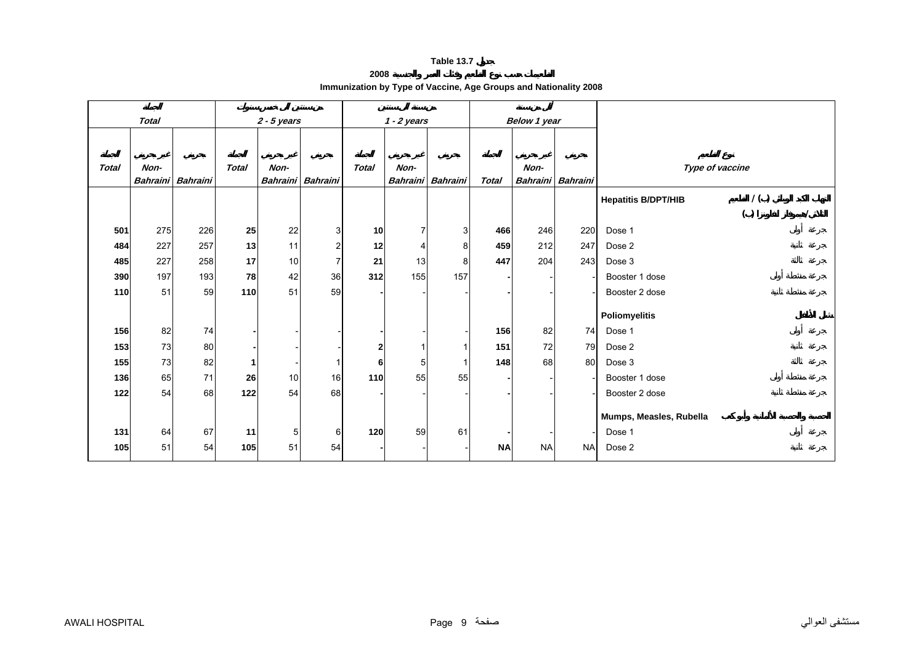## **2008**

| Immunization by Type of Vaccine, Age Groups and Nationality 2008 |  |
|------------------------------------------------------------------|--|
|------------------------------------------------------------------|--|

<span id="page-8-0"></span>

|              | <b>Total</b>     |          |              | $2 - 5$ years           |                |                 | $1 - 2$ years  |                   |              | Below 1 year            |           |                                   |
|--------------|------------------|----------|--------------|-------------------------|----------------|-----------------|----------------|-------------------|--------------|-------------------------|-----------|-----------------------------------|
|              |                  |          |              |                         |                |                 |                |                   |              |                         |           |                                   |
| <b>Total</b> | Non-<br>Bahraini | Bahraini | <b>Total</b> | Non-<br><b>Bahraini</b> | Bahraini       | <b>Total</b>    | Non-           | Bahraini Bahraini | <b>Total</b> | Non-<br><b>Bahraini</b> | Bahraini  | Type of vaccine                   |
|              |                  |          |              |                         |                |                 |                |                   |              |                         |           | 1()<br><b>Hepatitis B/DPT/HIB</b> |
|              |                  |          |              |                         |                |                 |                |                   |              |                         |           | ( )                               |
| 501          | 275              | 226      | 25           | 22                      | 3              | 10 <sup>1</sup> | $\overline{7}$ | 3                 | 466          | 246                     | 220       | Dose 1                            |
| 484          | 227              | 257      | 13           | 11                      | $\overline{c}$ | 12              |                | 8                 | 459          | 212                     | 247       | Dose 2                            |
| 485          | 227              | 258      | 17           | 10                      | 7              | 21              | 13             | 8                 | 447          | 204                     | 243       | Dose 3                            |
| 390          | 197              | 193      | 78           | 42                      | 36             | 312             | 155            | 157               |              |                         |           | Booster 1 dose                    |
| 110          | 51               | 59       | 110          | 51                      | 59             |                 |                |                   |              |                         |           | Booster 2 dose                    |
|              |                  |          |              |                         |                |                 |                |                   |              |                         |           | Poliomyelitis                     |
| 156          | 82               | 74       |              |                         |                |                 |                |                   | 156          | 82                      | 74        | Dose 1                            |
| 153          | 73               | 80       |              |                         |                | $\mathbf{2}$    |                |                   | 151          | 72                      | 79        | Dose 2                            |
| 155          | 73               | 82       | 1            |                         |                | 6               | 5 <sup>5</sup> |                   | 148          | 68                      | 80        | Dose 3                            |
| 136          | 65               | 71       | 26           | 10                      | 16             | 110             | 55             | 55                |              |                         |           | Booster 1 dose                    |
| 122          | 54               | 68       | 122          | 54                      | 68             |                 |                |                   |              |                         |           | Booster 2 dose                    |
|              |                  |          |              |                         |                |                 |                |                   |              |                         |           |                                   |
|              |                  |          |              |                         |                |                 |                |                   |              |                         |           | Mumps, Measles, Rubella           |
| 131          | 64               | 67       | 11           | 5                       | 6              | 120             | 59             | 61                |              |                         |           | Dose 1                            |
| 105          | 51               | 54       | 105          | 51                      | 54             |                 |                |                   | <b>NA</b>    | <b>NA</b>               | <b>NA</b> | Dose 2                            |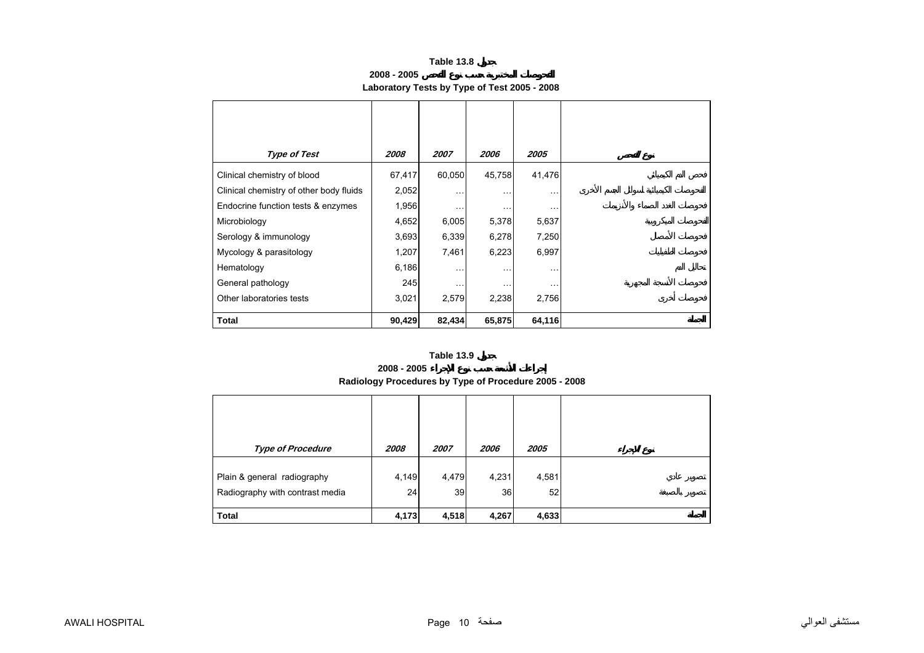**2008 - 2005**

# **Laboratory Tests by Type of Test 2005 - 2008**

<span id="page-9-0"></span>

| <b>Type of Test</b>                     | 2008   | 2007      | 2006          | 2005                 |
|-----------------------------------------|--------|-----------|---------------|----------------------|
| Clinical chemistry of blood             | 67,417 | 60,050    | 45,758        | 41,476               |
| Clinical chemistry of other body fluids | 2,052  | $\cdots$  | $\sim$ $\sim$ | $\sim$ $\sim$ $\sim$ |
| Endocrine function tests & enzymes      | 1,956  | $\ddotsc$ | $\cdots$      | $\ddotsc$            |
| Microbiology                            | 4,652  | 6,005     | 5,378         | 5,637                |
| Serology & immunology                   | 3,693  | 6,339     | 6,278         | 7,250                |
| Mycology & parasitology                 | 1,207  | 7,461     | 6,223         | 6,997                |
| Hematology                              | 6,186  | $\ddotsc$ | $\ddotsc$     | $\cdots$             |
| General pathology                       | 245    | $\cdots$  | $\cdots$      | .                    |
| Other laboratories tests                | 3,021  | 2,579     | 2,238         | 2,756                |
| Total                                   | 90,429 | 82,434    | 65,875        | 64,116               |

#### **Table 13.9**

## **2008 - 2005**

# **Radiology Procedures by Type of Procedure 2005 - 2008**

| <b>Type of Procedure</b>                                       | 2008        | 2007        | 2006        | 2005        |  |
|----------------------------------------------------------------|-------------|-------------|-------------|-------------|--|
| Plain & general radiography<br>Radiography with contrast media | 4,149<br>24 | 4,479<br>39 | 4,231<br>36 | 4,581<br>52 |  |
| <b>Total</b>                                                   | 4,173       | 4,518       | 4,267       | 4,633       |  |